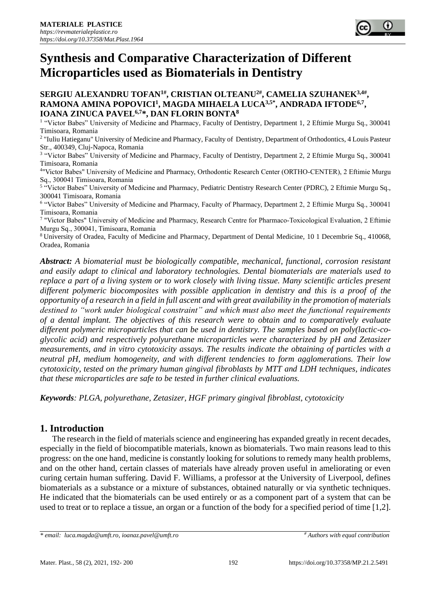

## **SERGIU ALEXANDRU TOFAN1#, CRISTIAN OLTEANU2#, CAMELIA SZUHANEK3,4# , RAMONA AMINA POPOVICI<sup>1</sup> , MAGDA MIHAELA LUCA3,5\*, ANDRADA IFTODE6,7 , IOANA ZINUCA PAVEL6,7\*, DAN FLORIN BONTA<sup>8</sup>**

<sup>1</sup> "Victor Babes" University of Medicine and Pharmacy, Faculty of Dentistry, Department 1, 2 Eftimie Murgu Sq., 300041 Timisoara, Romania

2 "Iuliu Hatieganu" University of Medicine and Pharmacy, Faculty of Dentistry, Department of Orthodontics, 4 Louis Pasteur Str., 400349, Cluj-Napoca, Romania

<sup>3</sup> "Victor Babes" University of Medicine and Pharmacy, Faculty of Dentistry, Department 2, 2 Eftimie Murgu Sq., 300041 Timisoara, Romania

4 "Victor Babes" University of Medicine and Pharmacy, Orthodontic Research Center (ORTHO-CENTER), 2 Eftimie Murgu Sq., 300041 Timisoara, Romania

<sup>5</sup> "Victor Babes" University of Medicine and Pharmacy, Pediatric Dentistry Research Center (PDRC), 2 Eftimie Murgu Sq., 300041 Timisoara, Romania

<sup>6</sup> "Victor Babes" University of Medicine and Pharmacy, Faculty of Pharmacy, Department 2, 2 Eftimie Murgu Sq., 300041 Timisoara, Romania

<sup>7</sup> "Victor Babes" University of Medicine and Pharmacy, Research Centre for Pharmaco-Toxicological Evaluation, 2 Eftimie Murgu Sq., 300041, Timisoara, Romania

<sup>8</sup>University of Oradea, Faculty of Medicine and Pharmacy, Department of Dental Medicine, 10 1 Decembrie Sq., 410068, Oradea, Romania

*Abstract: A biomaterial must be biologically compatible, mechanical, functional, corrosion resistant and easily adapt to clinical and laboratory technologies. Dental biomaterials are materials used to replace a part of a living system or to work closely with living tissue. Many scientific articles present different polymeric biocomposites with possible application in dentistry and this is a proof of the opportunity of a research in a field in full ascent and with great availability in the promotion of materials destined to "work under biological constraint" and which must also meet the functional requirements of a dental implant. The objectives of this research were to obtain and to comparatively evaluate different polymeric microparticles that can be used in dentistry. The samples based on poly(lactic-coglycolic acid) and respectively polyurethane microparticles were characterized by pH and Zetasizer measurements, and in vitro cytotoxicity assays. The results indicate the obtaining of particles with a neutral pH, medium homogeneity, and with different tendencies to form agglomerations. Their low cytotoxicity, tested on the primary human gingival fibroblasts by MTT and LDH techniques, indicates that these microparticles are safe to be tested in further clinical evaluations.*

*Keywords: PLGA, polyurethane, Zetasizer, HGF primary gingival fibroblast, cytotoxicity*

# **1. Introduction**

The research in the field of materials science and engineering has expanded greatly in recent decades, especially in the field of biocompatible materials, known as biomaterials. Two main reasons lead to this progress: on the one hand, medicine is constantly looking for solutions to remedy many health problems, and on the other hand, certain classes of materials have already proven useful in ameliorating or even curing certain human suffering. David F. Williams, a professor at the University of Liverpool, defines biomaterials as a substance or a mixture of substances, obtained naturally or via synthetic techniques. He indicated that the biomaterials can be used entirely or as a component part of a system that can be used to treat or to replace a tissue, an organ or a function of the body for a specified period of time [1,2].

*<sup>\*</sup> email: [luca.magda@umft.ro,](mailto:luca.magda@umft.ro) [ioanaz.pavel@umft.ro](mailto:ioanaz.pavel@umft.ro)*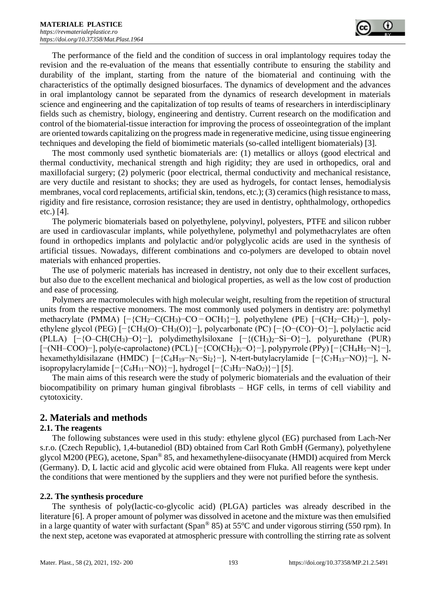The performance of the field and the condition of success in oral implantology requires today the revision and the re-evaluation of the means that essentially contribute to ensuring the stability and durability of the implant, starting from the nature of the biomaterial and continuing with the characteristics of the optimally designed biosurfaces. The dynamics of development and the advances in oral implantology cannot be separated from the dynamics of research development in materials science and engineering and the capitalization of top results of teams of researchers in interdisciplinary fields such as chemistry, biology, engineering and dentistry. Current research on the modification and control of the biomaterial-tissue interaction for improving the process of osseointegration of the implant are oriented towards capitalizing on the progress made in regenerative medicine, using tissue engineering techniques and developing the field of biomimetic materials (so-called intelligent biomaterials) [3].

The most commonly used synthetic biomaterials are: (1) metallics or alloys (good electrical and thermal conductivity, mechanical strength and high rigidity; they are used in orthopedics, oral and maxillofacial surgery; (2) polymeric (poor electrical, thermal conductivity and mechanical resistance, are very ductile and resistant to shocks; they are used as hydrogels, for contact lenses, hemodialysis membranes, vocal cord replacements, artificial skin, tendons, etc.); (3) ceramics (high resistance to mass, rigidity and fire resistance, corrosion resistance; they are used in dentistry, ophthalmology, orthopedics etc.) [4].

The polymeric biomaterials based on polyethylene, polyvinyl, polyesters, PTFE and silicon rubber are used in cardiovascular implants, while polyethylene, polymethyl and polymethacrylates are often found in orthopedics implants and polylactic and/or polyglycolic acids are used in the synthesis of artificial tissues. Nowadays, different combinations and co-polymers are developed to obtain novel materials with enhanced properties.

The use of polymeric materials has increased in dentistry, not only due to their excellent surfaces, but also due to the excellent mechanical and biological properties, as well as the low cost of production and ease of processing.

Polymers are macromolecules with high molecular weight, resulting from the repetition of structural units from the respective monomers. The most commonly used polymers in dentistry are: polymethyl methacrylate (PMMA) [−{CH2−C(CH3)−CO − OCH3}−], polyethylene (PE) [−(CH2−CH2)−], polyethylene glycol (PEG) [−{CH3(O)−CH3(O)}−], polycarbonate (PC) [−{O−(CO)−O}−], polylactic acid (PLLA) [−{O–CH(CH3)−O}−], polydimethylsiloxane [−{(CH3)2−Si−O}−], polyurethane (PUR) [−(NH–COO)−], poly(e-caprolactone) (PCL) [−{CO(CH2)5−O}−], polypyrrole (PPy) [−{CH4H5−N}−], hexamethyldisilazane (HMDC) [−{C6H19−N5−Si2}−], N-tert-butylacrylamide [−{C7H13−NO)}−], Nisopropylacrylamide  $[-\{C_6H_{11}-NO)\}-]$ , hydrogel  $[-\{C_3H_3-NaO_2\}]-]$  [5].

The main aims of this research were the study of polymeric biomaterials and the evaluation of their biocompatibility on primary human gingival fibroblasts – HGF cells, in terms of cell viability and cytotoxicity.

# **2. Materials and methods**

### **2.1. The reagents**

The following substances were used in this study: ethylene glycol (EG) purchased from Lach-Ner s.r.o. (Czech Republic), 1,4-butanediol (BD) obtained from Carl Roth GmbH (Germany), polyethylene glycol M200 (PEG), acetone, Span® 85, and hexamethylene-diisocyanate (HMDI) acquired from Merck (Germany). D, L lactic acid and glycolic acid were obtained from Fluka. All reagents were kept under the conditions that were mentioned by the suppliers and they were not purified before the synthesis.

### **2.2. The synthesis procedure**

The synthesis of poly(lactic-co-glycolic acid) (PLGA) particles was already described in the literature [6]. A proper amount of polymer was dissolved in acetone and the mixture was then emulsified in a large quantity of water with surfactant (Span<sup>®</sup> 85) at  $55^{\circ}$ C and under vigorous stirring (550 rpm). In the next step, acetone was evaporated at atmospheric pressure with controlling the stirring rate as solvent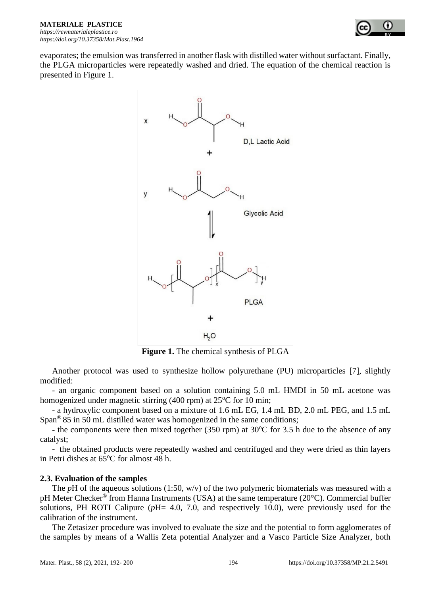

evaporates; the emulsion was transferred in another flask with distilled water without surfactant. Finally, the PLGA microparticles were repeatedly washed and dried. The equation of the chemical reaction is presented in Figure 1.



**Figure 1.** The chemical synthesis of PLGA

Another protocol was used to synthesize hollow polyurethane (PU) microparticles [7], slightly modified:

- an organic component based on a solution containing 5.0 mL HMDI in 50 mL acetone was homogenized under magnetic stirring (400 rpm) at  $25^{\circ}$ C for 10 min;

- a hydroxylic component based on a mixture of 1.6 mL EG, 1.4 mL BD, 2.0 mL PEG, and 1.5 mL Span® 85 in 50 mL distilled water was homogenized in the same conditions;

- the components were then mixed together (350 rpm) at  $30^{\circ}$ C for 3.5 h due to the absence of any catalyst;

- the obtained products were repeatedly washed and centrifuged and they were dried as thin layers in Petri dishes at  $65^{\circ}$ C for almost 48 h.

### **2.3. Evaluation of the samples**

The *pH* of the aqueous solutions (1:50, w/v) of the two polymeric biomaterials was measured with a pH Meter Checker® from Hanna Instruments (USA) at the same temperature (20°C). Commercial buffer solutions, PH ROTI Calipure (*p*H= 4.0, 7.0, and respectively 10.0), were previously used for the calibration of the instrument.

The Zetasizer procedure was involved to evaluate the size and the potential to form agglomerates of the samples by means of a Wallis Zeta potential Analyzer and a Vasco Particle Size Analyzer, both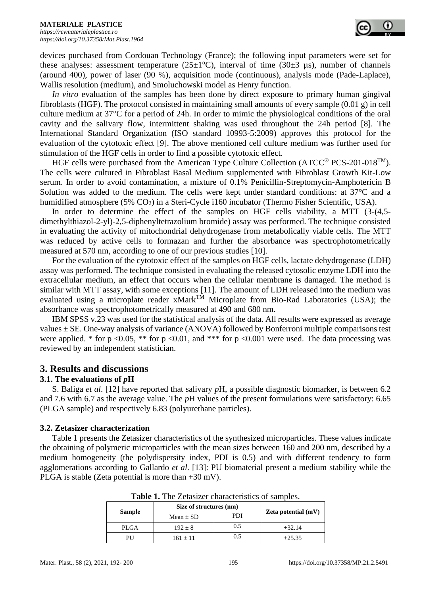devices purchased from Cordouan Technology (France); the following input parameters were set for these analyses: assessment temperature ( $25\pm1$ °C), interval of time ( $30\pm3$  µs), number of channels (around 400), power of laser (90 %), acquisition mode (continuous), analysis mode (Pade-Laplace), Wallis resolution (medium), and Smoluchowski model as Henry function.

*In vitro* evaluation of the samples has been done by direct exposure to primary human gingival fibroblasts (HGF). The protocol consisted in maintaining small amounts of every sample (0.01 g) in cell culture medium at 37°C for a period of 24h. In order to mimic the physiological conditions of the oral cavity and the salivary flow, intermittent shaking was used throughout the 24h period [8]. The International Standard Organization (ISO standard 10993-5:2009) approves this protocol for the evaluation of the cytotoxic effect [9]. The above mentioned cell culture medium was further used for stimulation of the HGF cells in order to find a possible cytotoxic effect.

HGF cells were purchased from the American Type Culture Collection (ATCC<sup>®</sup> PCS-201-018<sup>TM</sup>). The cells were cultured in Fibroblast Basal Medium supplemented with Fibroblast Growth Kit-Low serum. In order to avoid contamination, a mixture of 0.1% Penicillin-Streptomycin-Amphotericin B Solution was added to the medium. The cells were kept under standard conditions: at 37°C and a humidified atmosphere (5% CO<sub>2</sub>) in a Steri-Cycle i160 incubator (Thermo Fisher Scientific, USA).

In order to determine the effect of the samples on HGF cells viability, a MTT (3-(4,5 dimethylthiazol-2-yl)-2,5-diphenyltetrazolium bromide) assay was performed. The technique consisted in evaluating the activity of mitochondrial dehydrogenase from metabolically viable cells. The MTT was reduced by active cells to formazan and further the absorbance was spectrophotometrically measured at 570 nm, according to one of our previous studies [10].

For the evaluation of the cytotoxic effect of the samples on HGF cells, lactate dehydrogenase (LDH) assay was performed. The technique consisted in evaluating the released cytosolic enzyme LDH into the extracellular medium, an effect that occurs when the cellular membrane is damaged. The method is similar with MTT assay, with some exceptions [11]. The amount of LDH released into the medium was evaluated using a microplate reader  $xMark^{TM}$  Microplate from Bio-Rad Laboratories (USA); the absorbance was spectrophotometrically measured at 490 and 680 nm.

IBM SPSS v.23 was used for the statistical analysis of the data. All results were expressed as average values  $\pm$  SE. One-way analysis of variance (ANOVA) followed by Bonferroni multiple comparisons test were applied. \* for p <0.05, \*\* for p <0.01, and \*\*\* for p <0.001 were used. The data processing was reviewed by an independent statistician.

## **3. Results and discussions**

### **3.1. The evaluations of** *p***H**

S. Baliga *et al*. [12] have reported that salivary *p*H, a possible diagnostic biomarker, is between 6.2 and 7.6 with 6.7 as the average value. The *p*H values of the present formulations were satisfactory: 6.65 (PLGA sample) and respectively 6.83 (polyurethane particles).

### **3.2. Zetasizer characterization**

Table 1 presents the Zetasizer characteristics of the synthesized microparticles. These values indicate the obtaining of polymeric microparticles with the mean sizes between 160 and 200 nm, described by a medium homogeneity (the polydispersity index, PDI is 0.5) and with different tendency to form agglomerations according to Gallardo *et al*. [13]: PU biomaterial present a medium stability while the PLGA is stable (Zeta potential is more than +30 mV).

| <b>Sample</b> | Size of structures (nm) |     |                       |
|---------------|-------------------------|-----|-----------------------|
|               | Mean $\pm$ SD           | PDI | Zeta potential $(mV)$ |
| <b>PLGA</b>   | $192 \pm 8$             | 0.5 | $+32.14$              |
| PU            | $161 + 11$              | 0.5 | $+25.35$              |

**Table 1.** The Zetasizer characteristics of samples.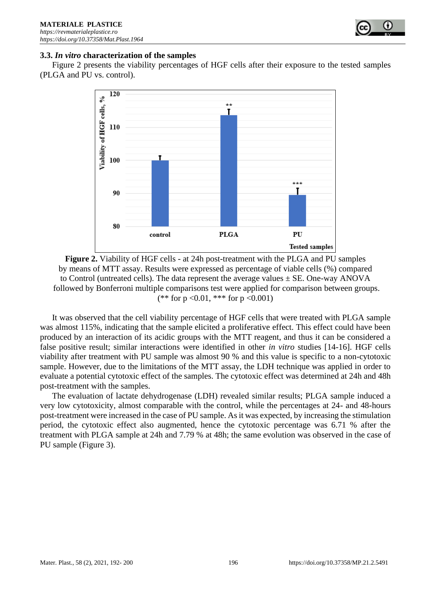

#### **3.3.** *In vitro* **characterization of the samples**

Figure 2 presents the viability percentages of HGF cells after their exposure to the tested samples (PLGA and PU vs. control).



**Figure 2.** Viability of HGF cells - at 24h post-treatment with the PLGA and PU samples by means of MTT assay. Results were expressed as percentage of viable cells (%) compared to Control (untreated cells). The data represent the average values  $\pm$  SE. One-way ANOVA followed by Bonferroni multiple comparisons test were applied for comparison between groups. (\*\* for  $p \le 0.01$ , \*\*\* for  $p \le 0.001$ )

It was observed that the cell viability percentage of HGF cells that were treated with PLGA sample was almost 115%, indicating that the sample elicited a proliferative effect. This effect could have been produced by an interaction of its acidic groups with the MTT reagent, and thus it can be considered a false positive result; similar interactions were identified in other *in vitro* studies [14-16]. HGF cells viability after treatment with PU sample was almost 90 % and this value is specific to a non-cytotoxic sample. However, due to the limitations of the MTT assay, the LDH technique was applied in order to evaluate a potential cytotoxic effect of the samples. The cytotoxic effect was determined at 24h and 48h post-treatment with the samples.

The evaluation of lactate dehydrogenase (LDH) revealed similar results; PLGA sample induced a very low cytotoxicity, almost comparable with the control, while the percentages at 24- and 48-hours post-treatment were increased in the case of PU sample. As it was expected, by increasing the stimulation period, the cytotoxic effect also augmented, hence the cytotoxic percentage was 6.71 % after the treatment with PLGA sample at 24h and 7.79 % at 48h; the same evolution was observed in the case of PU sample (Figure 3).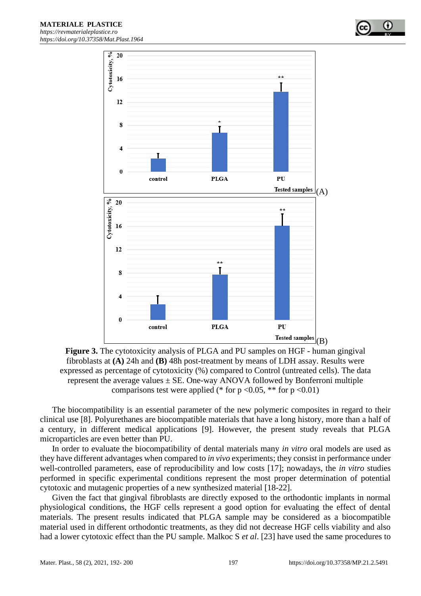

**Figure 3.** The cytotoxicity analysis of PLGA and PU samples on HGF - human gingival fibroblasts at **(A)** 24h and **(B)** 48h post-treatment by means of LDH assay. Results were expressed as percentage of cytotoxicity (%) compared to Control (untreated cells). The data represent the average values  $\pm$  SE. One-way ANOVA followed by Bonferroni multiple comparisons test were applied (\* for p < 0.05, \*\* for p < 0.01)

The biocompatibility is an essential parameter of the new polymeric composites in regard to their clinical use [8]. Polyurethanes are biocompatible materials that have a long history, more than a half of a century, in different medical applications [9]. However, the present study reveals that PLGA microparticles are even better than PU.

In order to evaluate the biocompatibility of dental materials many *in vitro* oral models are used as they have different advantages when compared to *in vivo* experiments; they consist in performance under well-controlled parameters, ease of reproducibility and low costs [17]; nowadays, the *in vitro* studies performed in specific experimental conditions represent the most proper determination of potential cytotoxic and mutagenic properties of a new synthesized material [18-22].

Given the fact that gingival fibroblasts are directly exposed to the orthodontic implants in normal physiological conditions, the HGF cells represent a good option for evaluating the effect of dental materials. The present results indicated that PLGA sample may be considered as a biocompatible material used in different orthodontic treatments, as they did not decrease HGF cells viability and also had a lower cytotoxic effect than the PU sample. Malkoc S *et al*. [23] have used the same procedures to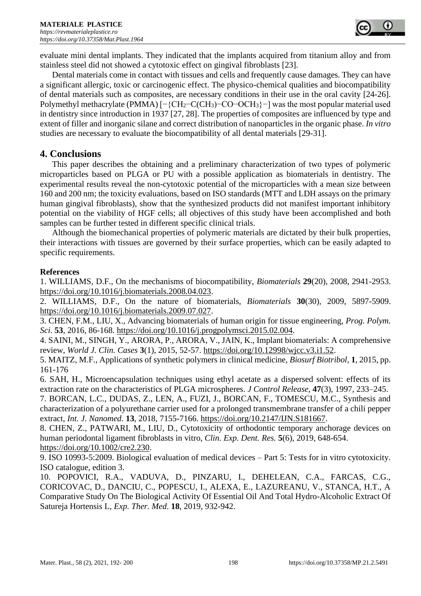evaluate mini dental implants. They indicated that the implants acquired from titanium alloy and from stainless steel did not showed a cytotoxic effect on gingival fibroblasts [23].

Dental materials come in contact with tissues and cells and frequently cause damages. They can have a significant allergic, toxic or carcinogenic effect. The physico-chemical qualities and biocompatibility of dental materials such as composites, are necessary conditions in their use in the oral cavity [24-26]. Polymethyl methacrylate (PMMA) [-{CH<sub>2</sub>-C(CH<sub>3</sub>)-CO-OCH<sub>3</sub>}-] was the most popular material used in dentistry since introduction in 1937 [27, 28]. The properties of composites are influenced by type and extent of filler and inorganic silane and correct distribution of nanoparticles in the organic phase. *In vitro* studies are necessary to evaluate the biocompatibility of all dental materials [29-31].

## **4. Conclusions**

This paper describes the obtaining and a preliminary characterization of two types of polymeric microparticles based on PLGA or PU with a possible application as biomaterials in dentistry. The experimental results reveal the non-cytotoxic potential of the microparticles with a mean size between 160 and 200 nm; the toxicity evaluations, based on ISO standards (MTT and LDH assays on the primary human gingival fibroblasts), show that the synthesized products did not manifest important inhibitory potential on the viability of HGF cells; all objectives of this study have been accomplished and both samples can be further tested in different specific clinical trials.

Although the biomechanical properties of polymeric materials are dictated by their bulk properties, their interactions with tissues are governed by their surface properties, which can be easily adapted to specific requirements.

## **References**

1. WILLIAMS, D.F., On the mechanisms of biocompatibility, *Biomaterials* **29**(20), 2008, 2941-2953. [https://doi.org/10.1016/j.biomaterials.2008.04.023.](https://doi.org/10.1016/j.biomaterials.2008.04.023)

2. WILLIAMS, D.F., On the nature of biomaterials, *Biomaterials* **30**(30), 2009, 5897-5909. [https://doi.org/10.1016/j.biomaterials.2009.07.027.](https://doi.org/10.1016/j.biomaterials.2009.07.027)

3. CHEN, F.M., LIU, X., Advancing biomaterials of human origin for tissue engineering, *Prog. Polym. Sci*. **53**, 2016, 86-168. [https://doi.org/10.1016/j.progpolymsci.2015.02.004.](https://doi.org/10.1016/j.progpolymsci.2015.02.004)

4. SAINI, M., SINGH, Y., ARORA, P., ARORA, V., JAIN, K., Implant biomaterials: A comprehensive review, *World J. Clin. Cases* **3**(1), 2015, 52-57. [https://doi.org/10.12998/wjcc.v3.i1.52.](https://doi.org/10.12998/wjcc.v3.i1.52)

5. MAITZ, M.F., Applications of synthetic polymers in clinical medicine, *Biosurf Biotribol,* **1**, 2015, pp. 161-176

6. SAH, H., Microencapsulation techniques using ethyl acetate as a dispersed solvent: effects of its extraction rate on the characteristics of PLGA microspheres. *J Control Release,* **47**(3), 1997, 233–245.

7. BORCAN, L.C., DUDAS, Z., LEN, A., FUZI, J., BORCAN, F., TOMESCU, M.C., Synthesis and characterization of a polyurethane carrier used for a prolonged transmembrane transfer of a chili pepper extract, *Int. J. Nanomed.* **13**, 2018, 7155-7166. [https://doi.org/10.2147/IJN.S181667.](https://doi.org/10.2147/IJN.S181667)

8. CHEN, Z., PATWARI, M., LIU, D., Cytotoxicity of orthodontic temporary anchorage devices on human periodontal ligament fibroblasts in vitro, *Clin. Exp. Dent. Res.* **5**(6), 2019, 648-654. [https://doi.org/10.1002/cre2.230.](https://doi.org/10.1002/cre2.230)

9. ISO 10993-5:2009. Biological evaluation of medical devices – Part 5: Tests for in vitro cytotoxicity. ISO catalogue, edition 3.

10. POPOVICI, R.A., VADUVA, D., PINZARU, I., DEHELEAN, C.A., FARCAS, C.G., CORICOVAC, D., DANCIU, C., POPESCU, I., ALEXA, E., LAZUREANU, V., STANCA, H.T., A Comparative Study On The Biological Activity Of Essential Oil And Total Hydro-Alcoholic Extract Of Satureja Hortensis L, *Exp. Ther. Med*. **18**, 2019, 932-942.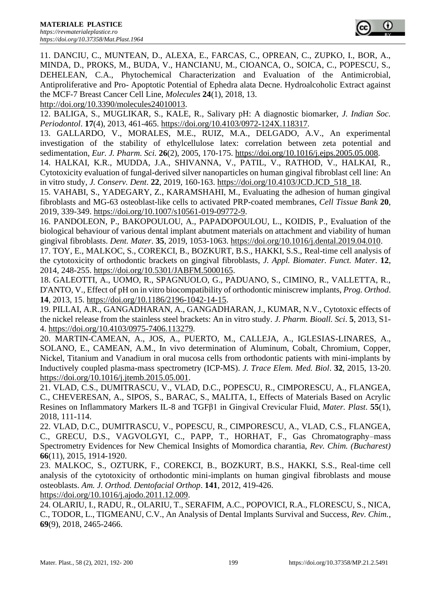11. DANCIU, C., MUNTEAN, D., ALEXA, E., FARCAS, C., OPREAN, C., ZUPKO, I., BOR, A., MINDA, D., PROKS, M., BUDA, V., HANCIANU, M., CIOANCA, O., SOICA, C., POPESCU, S., DEHELEAN, C.A., Phytochemical Characterization and Evaluation of the Antimicrobial, Antiproliferative and Pro- Apoptotic Potential of Ephedra alata Decne. Hydroalcoholic Extract against the MCF-7 Breast Cancer Cell Line, *Molecules* **24**(1), 2018, 13.

[http://doi.org/10.3390/molecules24010013.](http://doi.org/10.3390/molecules24010013)

12. BALIGA, S., MUGLIKAR, S., KALE, R., Salivary pH: A diagnostic biomarker, *J. Indian Soc. Periodontol*. **17**(4), 2013, 461-465. [https://doi.org/10.4103/0972-124X.118317.](https://doi.org/10.4103/0972-124X.118317)

13. GALLARDO, V., MORALES, M.E., RUIZ, M.A., DELGADO, A.V., An experimental investigation of the stability of ethylcellulose latex: correlation between zeta potential and sedimentation, *Eur. J. Pharm. Sci.* **26**(2), 2005, 170-175. [https://doi.org/10.1016/j.ejps.2005.05.008.](https://doi.org/10.1016/j.ejps.2005.05.008)

14. HALKAI, K.R., MUDDA, J.A., SHIVANNA, V., PATIL, V., RATHOD, V., HALKAI, R., Cytotoxicity evaluation of fungal-derived silver nanoparticles on human gingival fibroblast cell line: An in vitro study, *J. Conserv. Dent*. **22**, 2019, 160-163. [https://doi.org/10.4103/JCD.JCD\\_518\\_18.](https://doi.org/10.4103/JCD.JCD_518_18)

15. VAHABI, S., YADEGARY, Z., KARAMSHAHI, M., Evaluating the adhesion of human gingival fibroblasts and MG-63 osteoblast-like cells to activated PRP-coated membranes, *Cell Tissue Bank* **20**, 2019, 339-349. [https://doi.org/10.1007/s10561-019-09772-9.](https://doi.org/10.1007/s10561-019-09772-9)

16. PANDOLEON, P., BAKOPOULOU, A., PAPADOPOULOU, L., KOIDIS, P., Evaluation of the biological behaviour of various dental implant abutment materials on attachment and viability of human gingival fibroblasts. *Dent. Mater*. **35**, 2019, 1053-1063. [https://doi.org/10.1016/j.dental.2019.04.010.](https://doi.org/10.1016/j.dental.2019.04.010)

17. TOY, E., MALKOC, S., COREKCI, B., BOZKURT, B.S., HAKKI, S.S., Real-time cell analysis of the cytotoxicity of orthodontic brackets on gingival fibroblasts, *J. Appl. Biomater. Funct. Mater*. **12**, 2014, 248-255. [https://doi.org/10.5301/JABFM.5000165.](https://doi.org/10.5301/JABFM.5000165)

18. GALEOTTI, A., UOMO, R., SPAGNUOLO, G., PADUANO, S., CIMINO, R., VALLETTA, R., D'ANTO, V., Effect of pH on in vitro biocompatibility of orthodontic miniscrew implants, *Prog. Orthod*. **14**, 2013, 15. [https://doi.org/10.1186/2196-1042-14-15.](https://doi.org/10.1186/2196-1042-14-15)

19. PILLAI, A.R., GANGADHARAN, A., GANGADHARAN, J., KUMAR, N.V., Cytotoxic effects of the nickel release from the stainless steel brackets: An in vitro study. *J. Pharm. Bioall. Sci*. **5**, 2013, S1- 4. [https://doi.org/10.4103/0975-7406.113279.](https://doi.org/10.4103/0975-7406.113279)

20. MARTIN-CAMEAN, A., JOS, A., PUERTO, M., CALLEJA, A., IGLESIAS-LINARES, A., SOLANO, E., CAMEAN, A.M., In vivo determination of Aluminum, Cobalt, Chromium, Copper, Nickel, Titanium and Vanadium in oral mucosa cells from orthodontic patients with mini-implants by Inductively coupled plasma-mass spectrometry (ICP-MS). *J. Trace Elem. Med. Biol*. **32**, 2015, 13-20. [https://doi.org/10.1016/j.jtemb.2015.05.001.](https://doi.org/10.1016/j.jtemb.2015.05.001)

21. VLAD, C.S., DUMITRASCU, V., VLAD, D.C., POPESCU, R., CIMPORESCU, A., FLANGEA, C., CHEVERESAN, A., SIPOS, S., BARAC, S., MALITA, I., Effects of Materials Based on Acrylic Resines on Inflammatory Markers IL-8 and TGFβ1 in Gingival Crevicular Fluid, *Mater. Plast*. **55**(1), 2018, 111-114.

22. VLAD, D.C., DUMITRASCU, V., POPESCU, R., CIMPORESCU, A., VLAD, C.S., FLANGEA, C., GRECU, D.S., VAGVOLGYI, C., PAPP, T., HORHAT, F., Gas Chromatography–mass Spectrometry Evidences for New Chemical Insights of Momordica charantia, *Rev. Chim. (Bucharest)* **66**(11), 2015, 1914-1920.

23. MALKOC, S., OZTURK, F., COREKCI, B., BOZKURT, B.S., HAKKI, S.S., Real-time cell analysis of the cytotoxicity of orthodontic mini-implants on human gingival fibroblasts and mouse osteoblasts. *Am. J. Orthod. Dentofacial Orthop*. **141**, 2012, 419-426.

[https://doi.org/10.1016/j.ajodo.2011.12.009.](https://doi.org/10.1016/j.ajodo.2011.12.009)

24. OLARIU, I., RADU, R., OLARIU, T., SERAFIM, A.C., POPOVICI, R.A., FLORESCU, S., NICA, C., TODOR, L., TIGMEANU, C.V., An Analysis of Dental Implants Survival and Success, *Rev. Chim.,* **69**(9), 2018, 2465-2466.